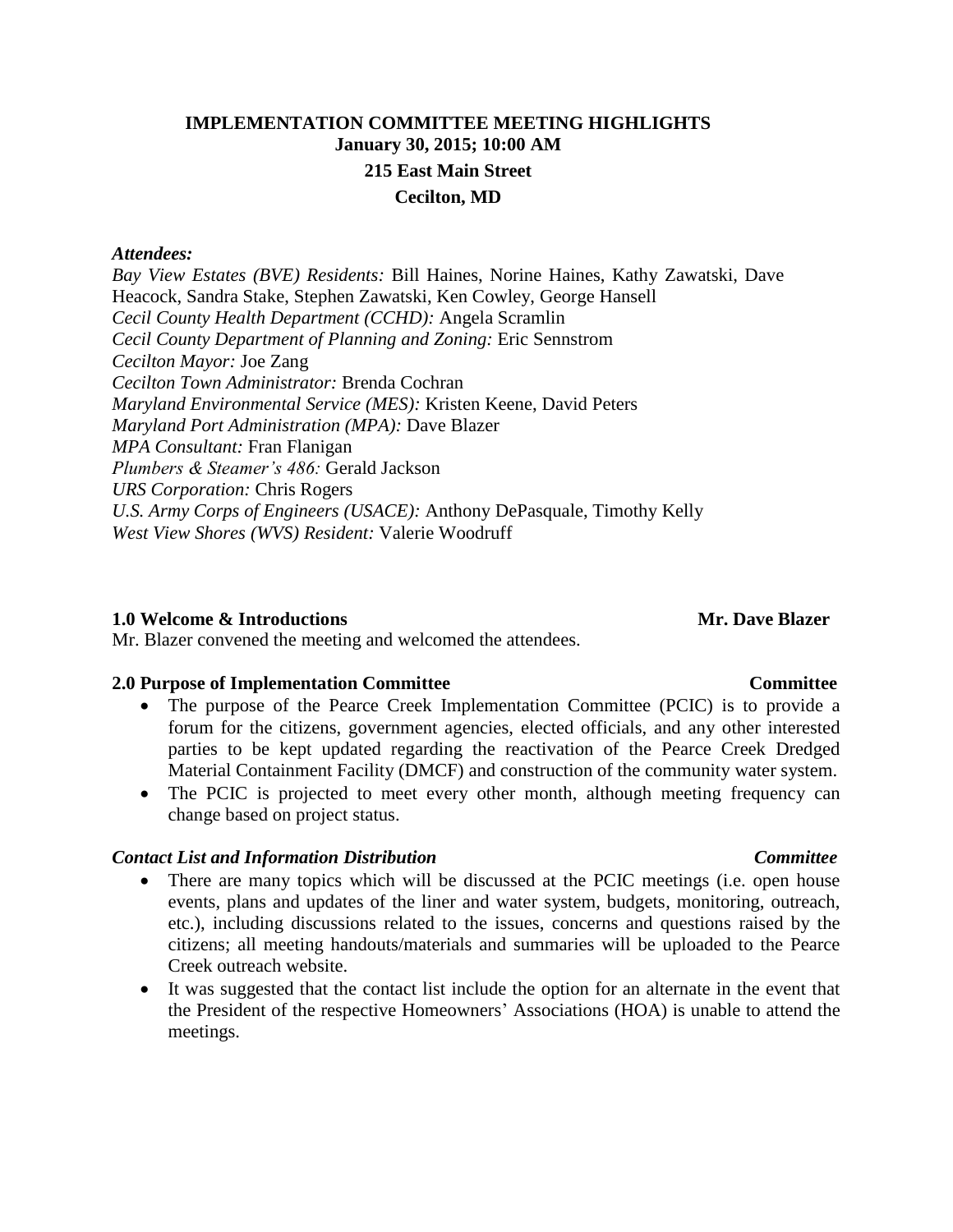# **IMPLEMENTATION COMMITTEE MEETING HIGHLIGHTS January 30, 2015; 10:00 AM 215 East Main Street Cecilton, MD**

### *Attendees:*

*Bay View Estates (BVE) Residents:* Bill Haines, Norine Haines, Kathy Zawatski, Dave Heacock, Sandra Stake, Stephen Zawatski, Ken Cowley, George Hansell *Cecil County Health Department (CCHD):* Angela Scramlin *Cecil County Department of Planning and Zoning:* Eric Sennstrom *Cecilton Mayor:* Joe Zang *Cecilton Town Administrator:* Brenda Cochran *Maryland Environmental Service (MES):* Kristen Keene, David Peters *Maryland Port Administration (MPA):* Dave Blazer *MPA Consultant:* Fran Flanigan *Plumbers & Steamer's 486:* Gerald Jackson *URS Corporation:* Chris Rogers *U.S. Army Corps of Engineers (USACE):* Anthony DePasquale, Timothy Kelly *West View Shores (WVS) Resident:* Valerie Woodruff

### **1.0** Welcome & Introductions **Mr. Dave Blazer**

Mr. Blazer convened the meeting and welcomed the attendees.

### **2.0 Purpose of Implementation Committee Committee**

- The purpose of the Pearce Creek Implementation Committee (PCIC) is to provide a forum for the citizens, government agencies, elected officials, and any other interested parties to be kept updated regarding the reactivation of the Pearce Creek Dredged Material Containment Facility (DMCF) and construction of the community water system.
- The PCIC is projected to meet every other month, although meeting frequency can change based on project status.

### *Contact List and Information Distribution Committee*

- There are many topics which will be discussed at the PCIC meetings (i.e. open house events, plans and updates of the liner and water system, budgets, monitoring, outreach, etc.), including discussions related to the issues, concerns and questions raised by the citizens; all meeting handouts/materials and summaries will be uploaded to the Pearce Creek outreach website.
- It was suggested that the contact list include the option for an alternate in the event that the President of the respective Homeowners' Associations (HOA) is unable to attend the meetings.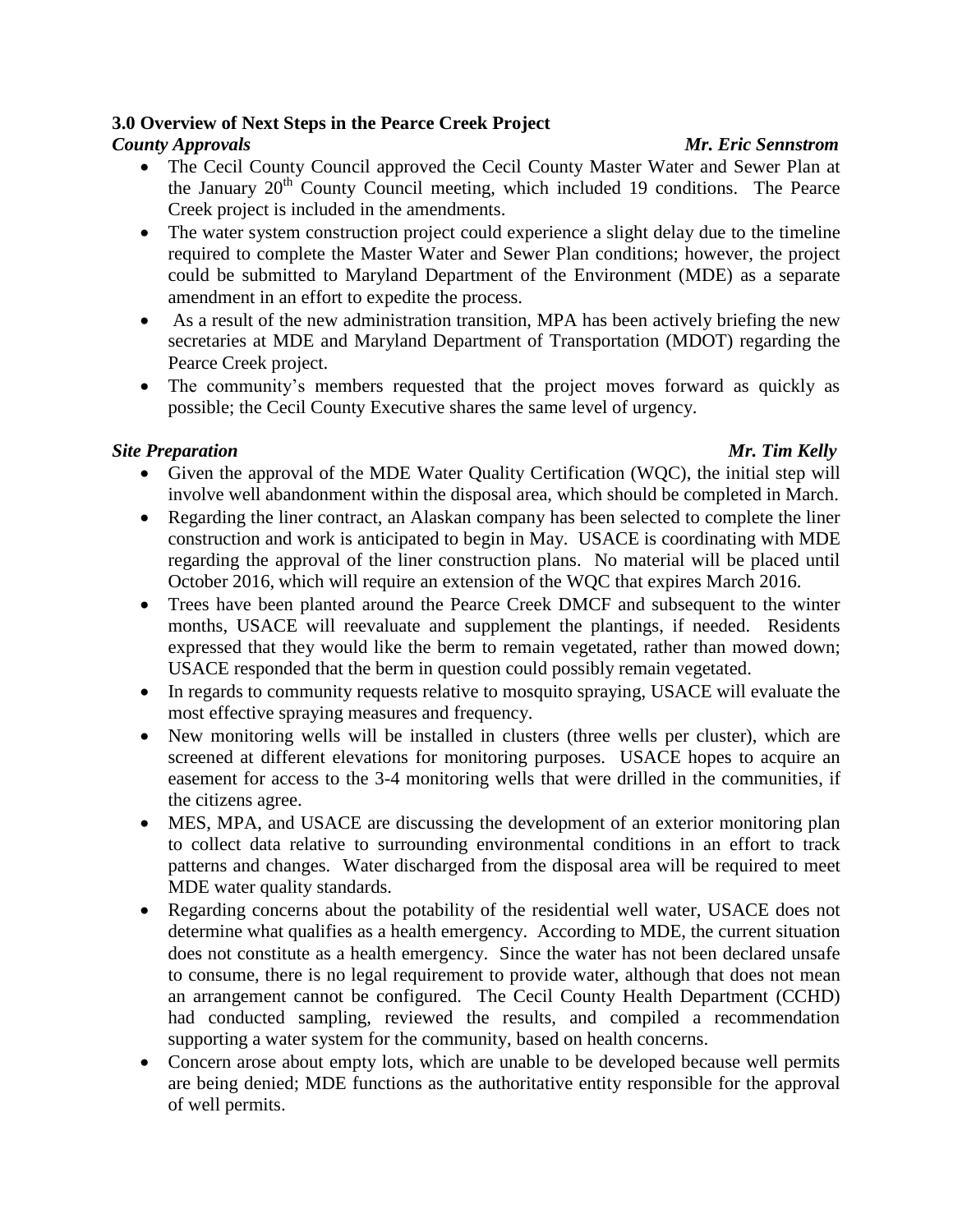## **3.0 Overview of Next Steps in the Pearce Creek Project**

## *County Approvals Mr. Eric Sennstrom*

- The Cecil County Council approved the Cecil County Master Water and Sewer Plan at the January  $20<sup>th</sup>$  County Council meeting, which included 19 conditions. The Pearce Creek project is included in the amendments.
- The water system construction project could experience a slight delay due to the timeline required to complete the Master Water and Sewer Plan conditions; however, the project could be submitted to Maryland Department of the Environment (MDE) as a separate amendment in an effort to expedite the process.
- As a result of the new administration transition, MPA has been actively briefing the new secretaries at MDE and Maryland Department of Transportation (MDOT) regarding the Pearce Creek project.
- The community's members requested that the project moves forward as quickly as possible; the Cecil County Executive shares the same level of urgency.

## *Site Preparation Mr. Tim Kelly*

- Given the approval of the MDE Water Quality Certification (WQC), the initial step will involve well abandonment within the disposal area, which should be completed in March.
- Regarding the liner contract, an Alaskan company has been selected to complete the liner construction and work is anticipated to begin in May. USACE is coordinating with MDE regarding the approval of the liner construction plans. No material will be placed until October 2016, which will require an extension of the WQC that expires March 2016.
- Trees have been planted around the Pearce Creek DMCF and subsequent to the winter months, USACE will reevaluate and supplement the plantings, if needed. Residents expressed that they would like the berm to remain vegetated, rather than mowed down; USACE responded that the berm in question could possibly remain vegetated.
- In regards to community requests relative to mosquito spraying, USACE will evaluate the most effective spraying measures and frequency.
- New monitoring wells will be installed in clusters (three wells per cluster), which are screened at different elevations for monitoring purposes. USACE hopes to acquire an easement for access to the 3-4 monitoring wells that were drilled in the communities, if the citizens agree.
- MES, MPA, and USACE are discussing the development of an exterior monitoring plan to collect data relative to surrounding environmental conditions in an effort to track patterns and changes. Water discharged from the disposal area will be required to meet MDE water quality standards.
- Regarding concerns about the potability of the residential well water, USACE does not determine what qualifies as a health emergency. According to MDE, the current situation does not constitute as a health emergency. Since the water has not been declared unsafe to consume, there is no legal requirement to provide water, although that does not mean an arrangement cannot be configured. The Cecil County Health Department (CCHD) had conducted sampling, reviewed the results, and compiled a recommendation supporting a water system for the community, based on health concerns.
- Concern arose about empty lots, which are unable to be developed because well permits are being denied; MDE functions as the authoritative entity responsible for the approval of well permits.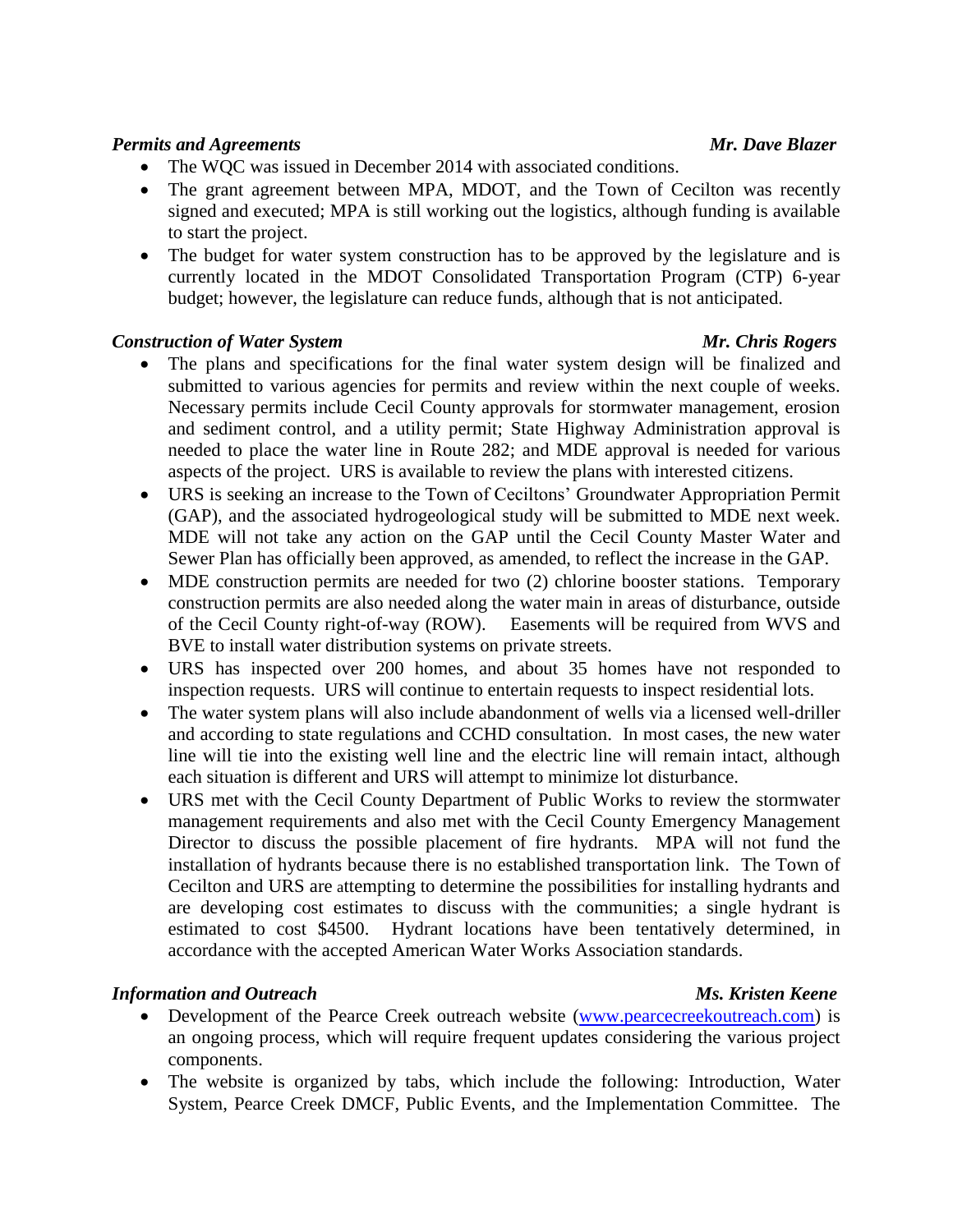## *Permits and Agreements Mr. Dave Blazer*

- The WQC was issued in December 2014 with associated conditions.
- The grant agreement between MPA, MDOT, and the Town of Cecilton was recently signed and executed; MPA is still working out the logistics, although funding is available to start the project.
- The budget for water system construction has to be approved by the legislature and is currently located in the MDOT Consolidated Transportation Program (CTP) 6-year budget; however, the legislature can reduce funds, although that is not anticipated.

## **Construction of Water System Mr. Chris Rogers** Mr. Chris Rogers

- The plans and specifications for the final water system design will be finalized and submitted to various agencies for permits and review within the next couple of weeks. Necessary permits include Cecil County approvals for stormwater management, erosion and sediment control, and a utility permit; State Highway Administration approval is needed to place the water line in Route 282; and MDE approval is needed for various aspects of the project. URS is available to review the plans with interested citizens.
- URS is seeking an increase to the Town of Ceciltons' Groundwater Appropriation Permit (GAP), and the associated hydrogeological study will be submitted to MDE next week. MDE will not take any action on the GAP until the Cecil County Master Water and Sewer Plan has officially been approved, as amended, to reflect the increase in the GAP.
- MDE construction permits are needed for two (2) chlorine booster stations. Temporary construction permits are also needed along the water main in areas of disturbance, outside of the Cecil County right-of-way (ROW). Easements will be required from WVS and BVE to install water distribution systems on private streets.
- URS has inspected over 200 homes, and about 35 homes have not responded to inspection requests. URS will continue to entertain requests to inspect residential lots.
- The water system plans will also include abandonment of wells via a licensed well-driller and according to state regulations and CCHD consultation. In most cases, the new water line will tie into the existing well line and the electric line will remain intact, although each situation is different and URS will attempt to minimize lot disturbance.
- URS met with the Cecil County Department of Public Works to review the stormwater management requirements and also met with the Cecil County Emergency Management Director to discuss the possible placement of fire hydrants. MPA will not fund the installation of hydrants because there is no established transportation link. The Town of Cecilton and URS are attempting to determine the possibilities for installing hydrants and are developing cost estimates to discuss with the communities; a single hydrant is estimated to cost \$4500. Hydrant locations have been tentatively determined, in accordance with the accepted American Water Works Association standards.

## *Information and Outreach Ms. Kristen Keene*

- Development of the Pearce Creek outreach website [\(www.pearcecreekoutreach.com\)](http://www.pearcecreekoutreach.com/) is an ongoing process, which will require frequent updates considering the various project components.
- The website is organized by tabs, which include the following: Introduction, Water System, Pearce Creek DMCF, Public Events, and the Implementation Committee. The